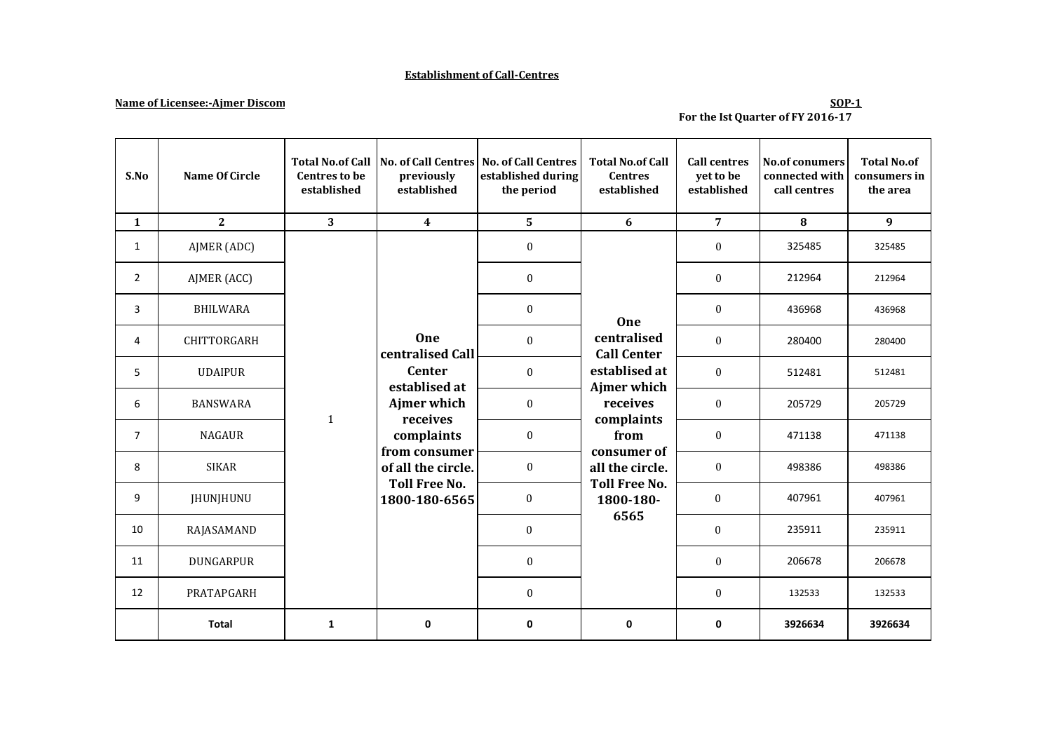### **Establishment of Call-Centres**

# **Name of Licensee:-Ajmer Discom**

# **For the Ist Quarter of FY 2016-17**

| S.No           | Name Of Circle     | <b>Centres to be</b><br>established | previously<br>established                                                                                      | Total No.of Call No. of Call Centres No. of Call Centres<br>established during<br>the period | <b>Total No.of Call</b><br><b>Centres</b><br>established                                           | <b>Call centres</b><br>yet to be<br>established | <b>No.of conumers</b><br>connected with<br>call centres | <b>Total No.of</b><br>consumers in<br>the area |
|----------------|--------------------|-------------------------------------|----------------------------------------------------------------------------------------------------------------|----------------------------------------------------------------------------------------------|----------------------------------------------------------------------------------------------------|-------------------------------------------------|---------------------------------------------------------|------------------------------------------------|
| $\mathbf{1}$   | 2                  | 3                                   | $\overline{\mathbf{4}}$                                                                                        | 5                                                                                            | 6                                                                                                  | $\overline{7}$                                  | 8                                                       | 9                                              |
| $\mathbf{1}$   | AJMER (ADC)        |                                     |                                                                                                                | $\boldsymbol{0}$                                                                             | One<br>centralised<br><b>Call Center</b><br>establised at<br>Ajmer which<br>receives<br>complaints | $\boldsymbol{0}$                                | 325485                                                  | 325485                                         |
| $\overline{2}$ | AJMER (ACC)        |                                     |                                                                                                                | $\boldsymbol{0}$                                                                             |                                                                                                    | $\boldsymbol{0}$                                | 212964                                                  | 212964                                         |
| 3              | <b>BHILWARA</b>    |                                     |                                                                                                                | $\boldsymbol{0}$                                                                             |                                                                                                    | $\boldsymbol{0}$                                | 436968                                                  | 436968                                         |
| 4              | <b>CHITTORGARH</b> |                                     | One<br>centralised Call                                                                                        | $\Omega$                                                                                     |                                                                                                    | $\mathbf{0}$                                    | 280400                                                  | 280400                                         |
| 5              | <b>UDAIPUR</b>     |                                     | <b>Center</b><br>establised at<br>Ajmer which<br>receives<br>complaints<br>from consumer<br>of all the circle. | $\mathbf{0}$                                                                                 |                                                                                                    | $\boldsymbol{0}$                                | 512481                                                  | 512481                                         |
| 6              | <b>BANSWARA</b>    | $\mathbf{1}$                        |                                                                                                                | $\boldsymbol{0}$                                                                             |                                                                                                    | $\boldsymbol{0}$                                | 205729                                                  | 205729                                         |
| $\overline{7}$ | <b>NAGAUR</b>      |                                     |                                                                                                                | $\boldsymbol{0}$<br>from                                                                     | $\boldsymbol{0}$                                                                                   | 471138                                          | 471138                                                  |                                                |
| 8              | <b>SIKAR</b>       |                                     |                                                                                                                | $\bf{0}$                                                                                     | consumer of<br>all the circle.<br><b>Toll Free No.</b><br>1800-180-<br>6565                        | $\boldsymbol{0}$                                | 498386                                                  | 498386                                         |
| 9              | <b>JHUNJHUNU</b>   |                                     | <b>Toll Free No.</b><br>1800-180-6565                                                                          | $\boldsymbol{0}$                                                                             |                                                                                                    | $\boldsymbol{0}$                                | 407961                                                  | 407961                                         |
| 10             | RAJASAMAND         |                                     |                                                                                                                | $\boldsymbol{0}$                                                                             |                                                                                                    | $\boldsymbol{0}$                                | 235911                                                  | 235911                                         |
| 11             | DUNGARPUR          |                                     |                                                                                                                | $\boldsymbol{0}$                                                                             |                                                                                                    | $\boldsymbol{0}$                                | 206678                                                  | 206678                                         |
| 12             | PRATAPGARH         |                                     |                                                                                                                | $\boldsymbol{0}$                                                                             |                                                                                                    | $\boldsymbol{0}$                                | 132533                                                  | 132533                                         |
|                | <b>Total</b>       | $\mathbf{1}$                        | $\mathbf 0$                                                                                                    | $\mathbf 0$                                                                                  | $\mathbf 0$                                                                                        | 0                                               | 3926634                                                 | 3926634                                        |

**SOP-1**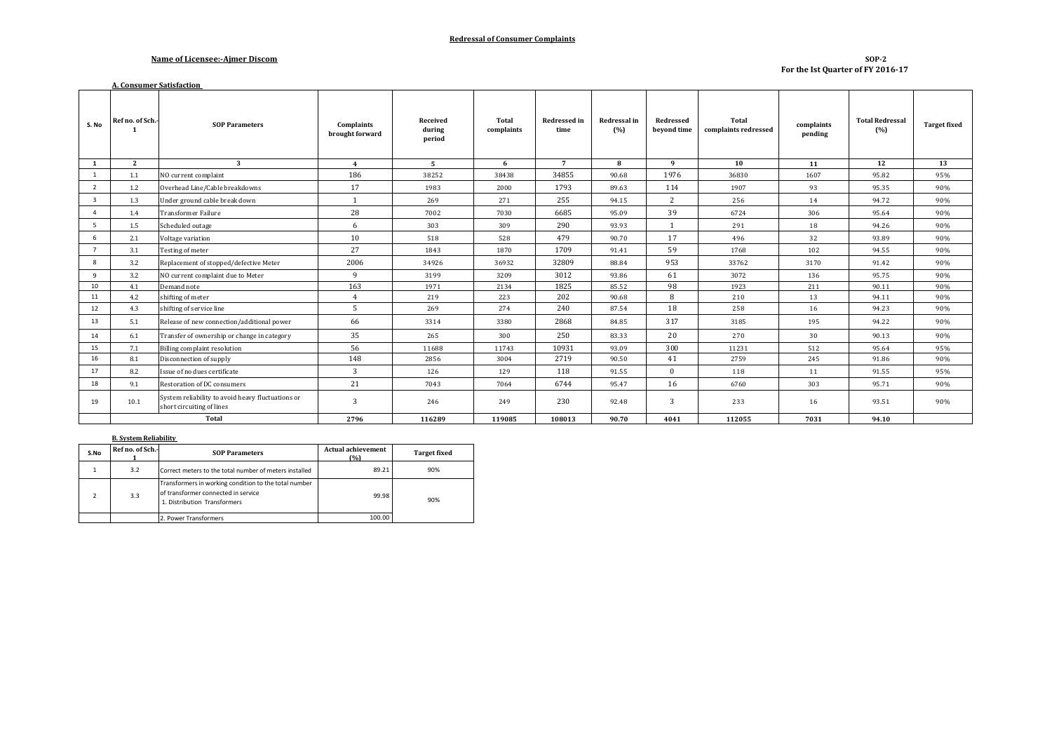#### **Redressal of Consumer Complaints**

#### **Name of Licensee:-Ajmer Discom**

#### **SOP-2 For the Ist Quarter of FY 2016-17**

|                | <b>A. Consumer Satisfaction</b> |                                                                                |                               |                              |                     |                             |                     |                          |                               |                       |                               |                     |
|----------------|---------------------------------|--------------------------------------------------------------------------------|-------------------------------|------------------------------|---------------------|-----------------------------|---------------------|--------------------------|-------------------------------|-----------------------|-------------------------------|---------------------|
| S. No          | Ref no. of Sch.                 | <b>SOP Parameters</b>                                                          | Complaints<br>brought forward | Received<br>during<br>period | Total<br>complaints | <b>Redressed in</b><br>time | Redressal in<br>(%) | Redressed<br>bevond time | Total<br>complaints redressed | complaints<br>pending | <b>Total Redressal</b><br>(%) | <b>Target fixed</b> |
| 1              | $\overline{2}$                  | 3                                                                              | $\overline{4}$                | -5                           | 6                   | $\overline{7}$              | 8                   | 9                        | 10                            | 11                    | 12                            | 13                  |
| 1              | 1.1                             | NO current complaint                                                           | 186                           | 38252                        | 38438               | 34855                       | 90.68               | 1976                     | 36830                         | 1607                  | 95.82                         | 95%                 |
| 2              | 1.2                             | Overhead Line/Cable breakdowns                                                 | 17                            | 1983                         | 2000                | 1793                        | 89.63               | 114                      | 1907                          | 93                    | 95.35                         | 90%                 |
| $\overline{3}$ | 1.3                             | Under ground cable break down                                                  | $\mathbf{1}$                  | 269                          | 271                 | 255                         | 94.15               | 2                        | 256                           | 14                    | 94.72                         | 90%                 |
| $\overline{a}$ | 1.4                             | <b>Transformer Failure</b>                                                     | 28                            | 7002                         | 7030                | 6685                        | 95.09               | 39                       | 6724                          | 306                   | 95.64                         | 90%                 |
| 5              | 1.5                             | Scheduled outage                                                               | 6                             | 303                          | 309                 | 290                         | 93.93               |                          | 291                           | 18                    | 94.26                         | 90%                 |
| 6              | 2.1                             | Voltage variation                                                              | 10                            | 518                          | 528                 | 479                         | 90.70               | 17                       | 496                           | 32                    | 93.89                         | 90%                 |
| $\overline{7}$ | 3.1                             | Testing of meter                                                               | 27                            | 1843                         | 1870                | 1709                        | 91.41               | 59                       | 1768                          | 102                   | 94.55                         | 90%                 |
| 8              | 3.2                             | Replacement of stopped/defective Meter                                         | 2006                          | 34926                        | 36932               | 32809                       | 88.84               | 953                      | 33762                         | 3170                  | 91.42                         | 90%                 |
| 9              | 3.2                             | NO current complaint due to Meter                                              | 9                             | 3199                         | 3209                | 3012                        | 93.86               | 61                       | 3072                          | 136                   | 95.75                         | 90%                 |
| 10             | 4.1                             | Demand note                                                                    | 163                           | 1971                         | 2134                | 1825                        | 85.52               | 98                       | 1923                          | 211                   | 90.11                         | 90%                 |
| 11             | 4.2                             | shifting of meter                                                              | $\overline{4}$                | 219                          | 223                 | 202                         | 90.68               | 8                        | 210                           | 13                    | 94.11                         | 90%                 |
| 12             | 4.3                             | shifting of service line                                                       | 5                             | 269                          | 274                 | 240                         | 87.54               | 18                       | 258                           | 16                    | 94.23                         | 90%                 |
| 13             | 5.1                             | Release of new connection/additional power                                     | 66                            | 3314                         | 3380                | 2868                        | 84.85               | 317                      | 3185                          | 195                   | 94.22                         | 90%                 |
| 14             | 6.1                             | Transfer of ownership or change in category                                    | 35                            | 265                          | 300                 | 250                         | 83.33               | 20                       | 270                           | 30                    | 90.13                         | 90%                 |
| 15             | 7.1                             | <b>Billing complaint resolution</b>                                            | 56                            | 11688                        | 11743               | 10931                       | 93.09               | 300                      | 11231                         | 512                   | 95.64                         | 95%                 |
| 16             | 8.1                             | Disconnection of supply                                                        | 148                           | 2856                         | 3004                | 2719                        | 90.50               | 41                       | 2759                          | 245                   | 91.86                         | 90%                 |
| 17             | 8.2                             | Issue of no dues certificate                                                   | 3                             | 126                          | 129                 | 118                         | 91.55               | $\Omega$                 | 118                           | 11                    | 91.55                         | 95%                 |
| 18             | 9.1                             | Restoration of DC consumers                                                    | 21                            | 7043                         | 7064                | 6744                        | 95.47               | 16                       | 6760                          | 303                   | 95.71                         | 90%                 |
| 19             | 10.1                            | System reliability to avoid heavy fluctuations or<br>short circuiting of lines | 3                             | 246                          | 249                 | 230                         | 92.48               | 3                        | 233                           | 16                    | 93.51                         | 90%                 |
|                | Total                           |                                                                                | 2796                          | 116289                       | 119085              | 108013                      | 90.70               | 4041                     | 112055                        | 7031                  | 94.10                         |                     |

#### **B. System Reliability**

| S.No | Ref no. of Sch.- | <b>SOP Parameters</b>                                                                                                        | <b>Actual achievement</b><br>(9) | <b>Target fixed</b> |  |
|------|------------------|------------------------------------------------------------------------------------------------------------------------------|----------------------------------|---------------------|--|
|      | 3.2              | Correct meters to the total number of meters installed                                                                       | 89.21                            | 90%                 |  |
|      | 3.3              | Transformers in working condition to the total number<br>of transformer connected in service<br>1. Distribution Transformers | 99.98                            | 90%                 |  |
|      |                  | 2. Power Transformers                                                                                                        | 100.00                           |                     |  |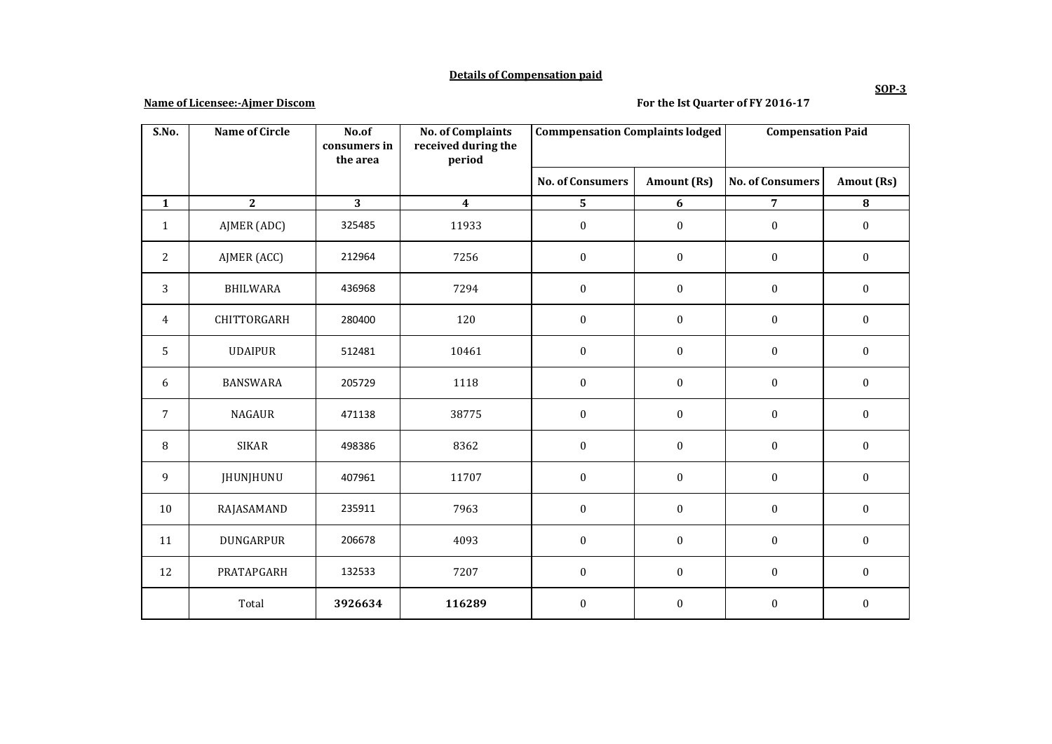### **Details of Compensation paid**

# **Name of Licensee:-Ajmer Discom**

# **For the Ist Quarter of FY 2016-17**

| S.No.          | <b>Name of Circle</b> | No.of<br>consumers in<br>the area | <b>No. of Complaints</b><br>received during the<br>period | <b>Commpensation Complaints lodged</b> |                    | <b>Compensation Paid</b> |                  |
|----------------|-----------------------|-----------------------------------|-----------------------------------------------------------|----------------------------------------|--------------------|--------------------------|------------------|
|                |                       |                                   |                                                           | <b>No. of Consumers</b>                | <b>Amount (Rs)</b> | <b>No. of Consumers</b>  | Amout (Rs)       |
| $\mathbf{1}$   | $\mathbf{2}$          | 3                                 | $\overline{\mathbf{4}}$                                   | 5                                      | 6                  | $\overline{7}$           | ${\bf 8}$        |
| $\mathbf{1}$   | AJMER (ADC)           | 325485                            | 11933                                                     | $\boldsymbol{0}$                       | $\boldsymbol{0}$   | $\boldsymbol{0}$         | $\boldsymbol{0}$ |
| $\overline{c}$ | AJMER (ACC)           | 212964                            | 7256                                                      | $\mathbf{0}$                           | $\boldsymbol{0}$   | $\boldsymbol{0}$         | $\boldsymbol{0}$ |
| 3              | <b>BHILWARA</b>       | 436968                            | 7294                                                      | $\boldsymbol{0}$                       | $\boldsymbol{0}$   | $\boldsymbol{0}$         | $\boldsymbol{0}$ |
| 4              | CHITTORGARH           | 280400                            | 120                                                       | $\mathbf{0}$                           | $\boldsymbol{0}$   | $\boldsymbol{0}$         | $\boldsymbol{0}$ |
| 5              | <b>UDAIPUR</b>        | 512481                            | 10461                                                     | $\mathbf{0}$                           | $\boldsymbol{0}$   | $\mathbf{0}$             | $\boldsymbol{0}$ |
| 6              | <b>BANSWARA</b>       | 205729                            | 1118                                                      | $\boldsymbol{0}$                       | $\boldsymbol{0}$   | $\boldsymbol{0}$         | $\mathbf{0}$     |
| $\overline{7}$ | <b>NAGAUR</b>         | 471138                            | 38775                                                     | $\boldsymbol{0}$                       | $\boldsymbol{0}$   | $\boldsymbol{0}$         | $\boldsymbol{0}$ |
| 8              | <b>SIKAR</b>          | 498386                            | 8362                                                      | $\boldsymbol{0}$                       | $\boldsymbol{0}$   | $\boldsymbol{0}$         | $\boldsymbol{0}$ |
| 9              | <b>JHUNJHUNU</b>      | 407961                            | 11707                                                     | $\boldsymbol{0}$                       | $\boldsymbol{0}$   | $\boldsymbol{0}$         | $\mathbf{0}$     |
| 10             | RAJASAMAND            | 235911                            | 7963                                                      | $\mathbf{0}$                           | $\boldsymbol{0}$   | $\boldsymbol{0}$         | $\boldsymbol{0}$ |
| 11             | DUNGARPUR             | 206678                            | 4093                                                      | $\boldsymbol{0}$                       | $\boldsymbol{0}$   | $\boldsymbol{0}$         | $\boldsymbol{0}$ |
| 12             | PRATAPGARH            | 132533                            | 7207                                                      | $\boldsymbol{0}$                       | $\boldsymbol{0}$   | $\boldsymbol{0}$         | $\boldsymbol{0}$ |
|                | Total                 | 3926634                           | 116289                                                    | $\mathbf{0}$                           | $\boldsymbol{0}$   | $\boldsymbol{0}$         | $\boldsymbol{0}$ |

# **SOP-3**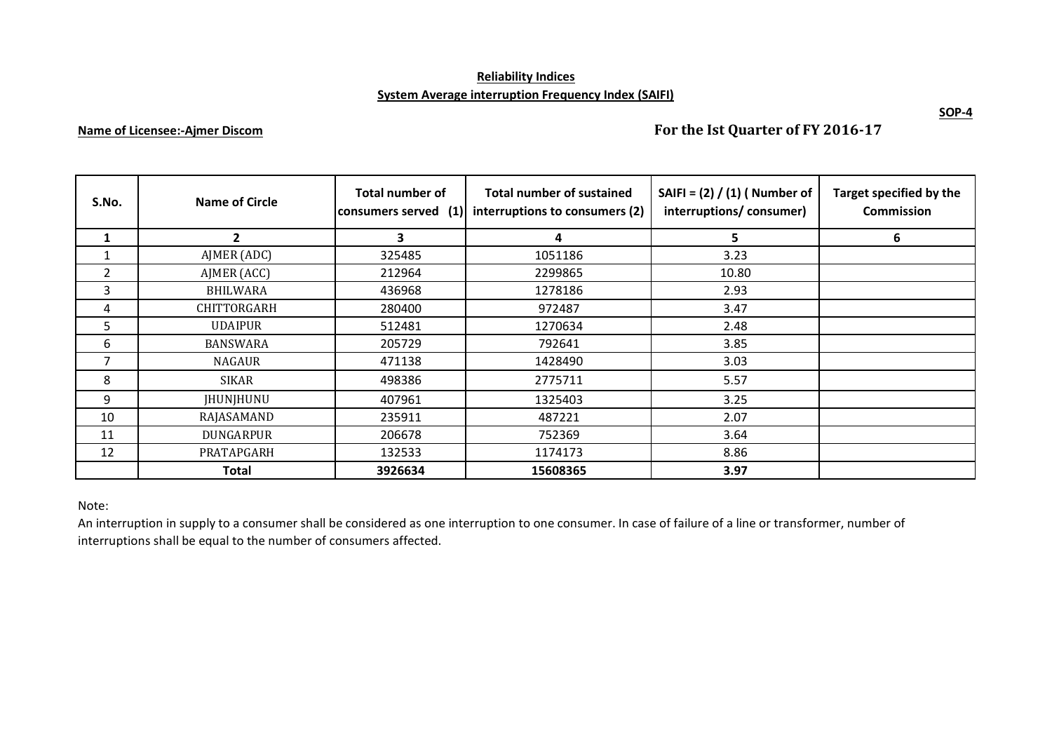# **Reliability Indices System Average interruption Frequency Index (SAIFI)**

# **Name of Licensee:-Ajmer Discom**

**For the Ist Quarter of FY 2016-17**

| S.No.          | Name of Circle     | Total number of<br>(1)<br>consumers served | <b>Total number of sustained</b><br>interruptions to consumers (2) | SAIFI = $(2) / (1)$ ( Number of<br>interruptions/consumer) | Target specified by the<br><b>Commission</b> |
|----------------|--------------------|--------------------------------------------|--------------------------------------------------------------------|------------------------------------------------------------|----------------------------------------------|
| 1              | $\overline{2}$     | 3                                          | 4                                                                  | 5.                                                         | 6                                            |
|                | AJMER (ADC)        | 325485                                     | 1051186                                                            | 3.23                                                       |                                              |
| $\overline{2}$ | AJMER (ACC)        | 212964                                     | 2299865                                                            | 10.80                                                      |                                              |
| 3              | <b>BHILWARA</b>    | 436968                                     | 1278186                                                            | 2.93                                                       |                                              |
| 4              | <b>CHITTORGARH</b> | 280400                                     | 972487                                                             | 3.47                                                       |                                              |
| 5.             | <b>UDAIPUR</b>     | 512481                                     | 1270634                                                            | 2.48                                                       |                                              |
| 6              | <b>BANSWARA</b>    | 205729                                     | 792641                                                             | 3.85                                                       |                                              |
| 7              | <b>NAGAUR</b>      | 471138                                     | 1428490                                                            | 3.03                                                       |                                              |
| 8              | SIKAR              | 498386                                     | 2775711                                                            | 5.57                                                       |                                              |
| 9              | JHUNJHUNU          | 407961                                     | 1325403                                                            | 3.25                                                       |                                              |
| 10             | RAJASAMAND         | 235911                                     | 487221                                                             | 2.07                                                       |                                              |
| 11             | DUNGARPUR          | 206678                                     | 752369                                                             | 3.64                                                       |                                              |
| 12             | PRATAPGARH         | 132533                                     | 1174173                                                            | 8.86                                                       |                                              |
|                | <b>Total</b>       | 3926634                                    | 15608365                                                           | 3.97                                                       |                                              |

# Note:

An interruption in supply to a consumer shall be considered as one interruption to one consumer. In case of failure of a line or transformer, number of interruptions shall be equal to the number of consumers affected.

**SOP-4**